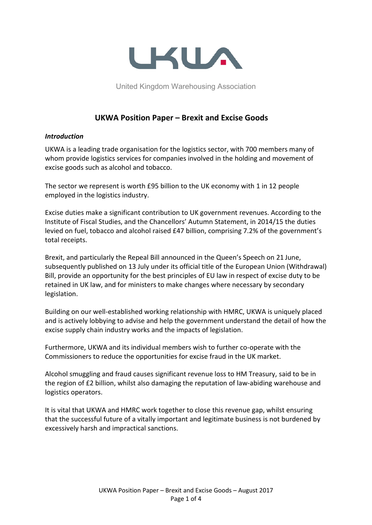

United Kingdom Warehousing Association

# **UKWA Position Paper – Brexit and Excise Goods**

#### *Introduction*

UKWA is a leading trade organisation for the logistics sector, with 700 members many of whom provide logistics services for companies involved in the holding and movement of excise goods such as alcohol and tobacco.

The sector we represent is worth £95 billion to the UK economy with 1 in 12 people employed in the logistics industry.

Excise duties make a significant contribution to UK government revenues. According to the Institute of Fiscal Studies, and the Chancellors' Autumn Statement, in 2014/15 the duties levied on fuel, tobacco and alcohol raised £47 billion, comprising 7.2% of the government's total receipts.

Brexit, and particularly the Repeal Bill announced in the Queen's Speech on 21 June, subsequently published on 13 July under its official title of the European Union (Withdrawal) Bill, provide an opportunity for the best principles of EU law in respect of excise duty to be retained in UK law, and for ministers to make changes where necessary by secondary legislation.

Building on our well-established working relationship with HMRC, UKWA is uniquely placed and is actively lobbying to advise and help the government understand the detail of how the excise supply chain industry works and the impacts of legislation.

Furthermore, UKWA and its individual members wish to further co-operate with the Commissioners to reduce the opportunities for excise fraud in the UK market.

Alcohol smuggling and fraud causes significant revenue loss to HM Treasury, said to be in the region of £2 billion, whilst also damaging the reputation of law-abiding warehouse and logistics operators.

It is vital that UKWA and HMRC work together to close this revenue gap, whilst ensuring that the successful future of a vitally important and legitimate business is not burdened by excessively harsh and impractical sanctions.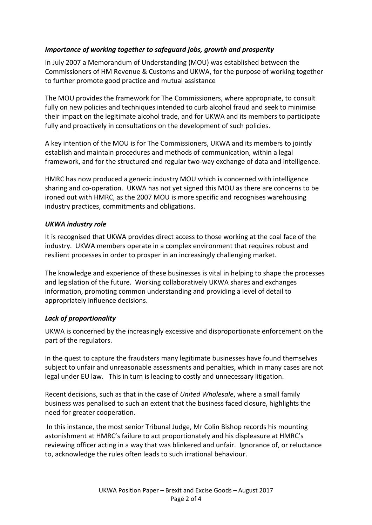# *Importance of working together to safeguard jobs, growth and prosperity*

In July 2007 a Memorandum of Understanding (MOU) was established between the Commissioners of HM Revenue & Customs and UKWA, for the purpose of working together to further promote good practice and mutual assistance

The MOU provides the framework for The Commissioners, where appropriate, to consult fully on new policies and techniques intended to curb alcohol fraud and seek to minimise their impact on the legitimate alcohol trade, and for UKWA and its members to participate fully and proactively in consultations on the development of such policies.

A key intention of the MOU is for The Commissioners, UKWA and its members to jointly establish and maintain procedures and methods of communication, within a legal framework, and for the structured and regular two-way exchange of data and intelligence.

HMRC has now produced a generic industry MOU which is concerned with intelligence sharing and co-operation. UKWA has not yet signed this MOU as there are concerns to be ironed out with HMRC, as the 2007 MOU is more specific and recognises warehousing industry practices, commitments and obligations.

## *UKWA industry role*

It is recognised that UKWA provides direct access to those working at the coal face of the industry. UKWA members operate in a complex environment that requires robust and resilient processes in order to prosper in an increasingly challenging market.

The knowledge and experience of these businesses is vital in helping to shape the processes and legislation of the future. Working collaboratively UKWA shares and exchanges information, promoting common understanding and providing a level of detail to appropriately influence decisions.

## *Lack of proportionality*

UKWA is concerned by the increasingly excessive and disproportionate enforcement on the part of the regulators.

In the quest to capture the fraudsters many legitimate businesses have found themselves subject to unfair and unreasonable assessments and penalties, which in many cases are not legal under EU law. This in turn is leading to costly and unnecessary litigation.

Recent decisions, such as that in the case of *United Wholesale*, where a small family business was penalised to such an extent that the business faced closure, highlights the need for greater cooperation.

In this instance, the most senior Tribunal Judge, Mr Colin Bishop records his mounting astonishment at HMRC's failure to act proportionately and his displeasure at HMRC's reviewing officer acting in a way that was blinkered and unfair. Ignorance of, or reluctance to, acknowledge the rules often leads to such irrational behaviour.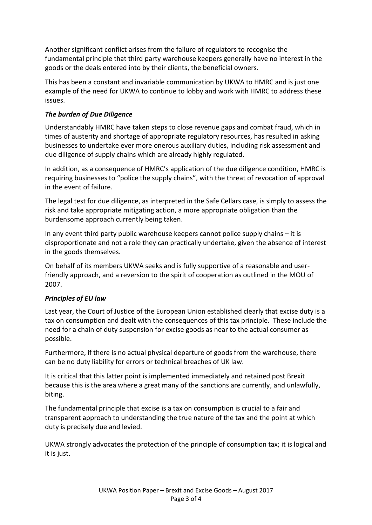Another significant conflict arises from the failure of regulators to recognise the fundamental principle that third party warehouse keepers generally have no interest in the goods or the deals entered into by their clients, the beneficial owners.

This has been a constant and invariable communication by UKWA to HMRC and is just one example of the need for UKWA to continue to lobby and work with HMRC to address these issues.

# *The burden of Due Diligence*

Understandably HMRC have taken steps to close revenue gaps and combat fraud, which in times of austerity and shortage of appropriate regulatory resources, has resulted in asking businesses to undertake ever more onerous auxiliary duties, including risk assessment and due diligence of supply chains which are already highly regulated.

In addition, as a consequence of HMRC's application of the due diligence condition, HMRC is requiring businesses to "police the supply chains", with the threat of revocation of approval in the event of failure.

The legal test for due diligence, as interpreted in the Safe Cellars case, is simply to assess the risk and take appropriate mitigating action, a more appropriate obligation than the burdensome approach currently being taken.

In any event third party public warehouse keepers cannot police supply chains – it is disproportionate and not a role they can practically undertake, given the absence of interest in the goods themselves.

On behalf of its members UKWA seeks and is fully supportive of a reasonable and userfriendly approach, and a reversion to the spirit of cooperation as outlined in the MOU of 2007.

## *Principles of EU law*

Last year, the Court of Justice of the European Union established clearly that excise duty is a tax on consumption and dealt with the consequences of this tax principle. These include the need for a chain of duty suspension for excise goods as near to the actual consumer as possible.

Furthermore, if there is no actual physical departure of goods from the warehouse, there can be no duty liability for errors or technical breaches of UK law.

It is critical that this latter point is implemented immediately and retained post Brexit because this is the area where a great many of the sanctions are currently, and unlawfully, biting.

The fundamental principle that excise is a tax on consumption is crucial to a fair and transparent approach to understanding the true nature of the tax and the point at which duty is precisely due and levied.

UKWA strongly advocates the protection of the principle of consumption tax; it is logical and it is just.